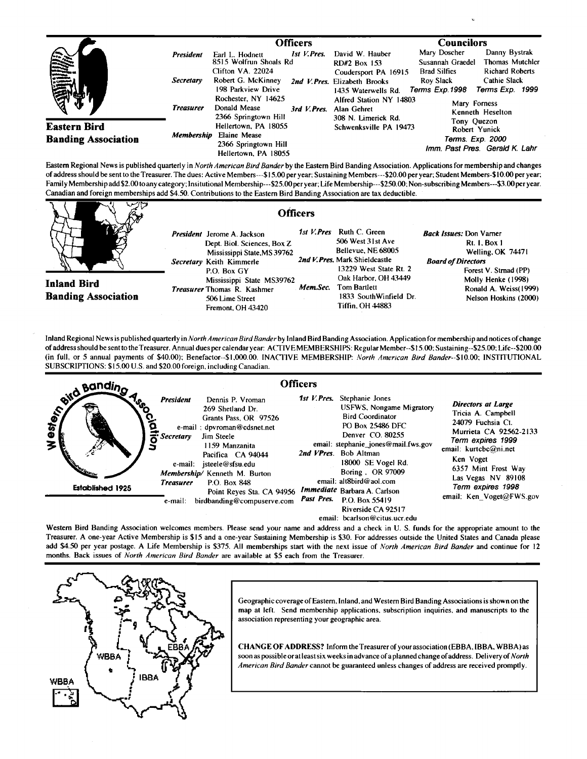|                                                   |                                      | <b>Officers</b>                                                                                                           |                                                                                                                 | <b>Councilors</b>                                                                                                                                                                               |
|---------------------------------------------------|--------------------------------------|---------------------------------------------------------------------------------------------------------------------------|-----------------------------------------------------------------------------------------------------------------|-------------------------------------------------------------------------------------------------------------------------------------------------------------------------------------------------|
| <b>THE REA</b>                                    | <b>President</b><br><b>Secretary</b> | 1st V.Pres.<br>Earl L. Hodnett<br>8515 Wolfrun Shoals Rd<br>Clifton VA. 22024<br>Robert G. McKinney<br>198 Parkview Drive | David W. Hauber<br>RD#2 Box 153<br>Coudersport PA 16915<br>2nd V. Pres. Elizabeth Brooks<br>1435 Waterwells Rd. | Danny Bystrak<br>Mary Doscher<br><b>Thomas Mutchler</b><br>Susannah Graedel<br><b>Richard Roberts</b><br><b>Brad Silfies</b><br>Cathie Slack<br>Roy Slack<br>Terms Exp. 1998<br>Terms Exp. 1999 |
|                                                   | <b>Treasurer</b>                     | Rochester, NY 14625<br>Donald Mease<br>3rd V.Pres.<br>2366 Springtown Hill                                                | Alfred Station NY 14803<br>Alan Gehret<br>308 N. Limerick Rd.                                                   | Mary Forness<br>Kenneth Heselton                                                                                                                                                                |
| <b>Eastern Bird</b><br><b>Banding Association</b> | <b>Membership</b>                    | Hellertown, PA 18055<br><b>Elaine Mease</b><br>2366 Springtown Hill<br>Hellertown, PA 18055                               | Schwenksville PA 19473                                                                                          | Tony Quezon<br>Robert Yunick<br>Terms. Exp. 2000<br>Imm. Past Pres. Gerald K. Lahr                                                                                                              |

Eastem Regional News is published quarterly in North American Bird Bander by the Eastern Bird Banding Association. Applications for membership and changes **of address should be sento the Treasurer. The dues: Active Members---\$15.00 per year: Sustaining Members---S20.00 per year; Student Members-\$ I 0.00 per year;**  Family Membership add \$2.00 to any category; Insitutional Membership---\$25.00 per year; Life Membership---\$250.00; Non-subscribing Members---\$3.00 per year.<br>Consider and feasier, memberships add \$4.50. Contributions to the **Canadian and foreign memberships add \$4.50. Contributions tothe Eastern Bird Banding Association are tax deductible.** 

| いづけ                                              | <b>Officers</b>                                                                                                                                                                                                                                         |                        |                                                                                                                                                                                                            |                                                                                                                                                                                                          |
|--------------------------------------------------|---------------------------------------------------------------------------------------------------------------------------------------------------------------------------------------------------------------------------------------------------------|------------------------|------------------------------------------------------------------------------------------------------------------------------------------------------------------------------------------------------------|----------------------------------------------------------------------------------------------------------------------------------------------------------------------------------------------------------|
| <b>Inland Bird</b><br><b>Banding Association</b> | <b>President</b> Jerome A. Jackson<br>Dept. Biol. Sciences, Box Z.<br>Mississippi State, MS 39762<br>Secretary Keith Kimmerle<br>P.O. Box GY<br>Mississippi State MS39762<br><b>Treasurer</b> Thomas R. Kashmer<br>506 Lime Street<br>Fremont, OH 43420 | 1st V.Pres<br>Mem.Sec. | Ruth C. Green<br>506 West 31st Ave<br>Bellevue, NE 68005<br>2nd V. Pres. Mark Shieldcastle<br>13229 West State Rt. 2<br>Oak Harbor, OH 43449<br>Tom Bartlett<br>1833 SouthWinfield Dr.<br>Tiffin. OH 44883 | <b>Back Issues:</b> Don Varner<br><b>Rt. I. Box 1</b><br>Welling, OK 74471<br><b>Board of Directors</b><br>Forest V. Strnad (PP)<br>Molly Henke (1998)<br>Ronald A. Weiss(1999)<br>Nelson Hoskins (2000) |

Inland Regional News is published quarterly in North American Bird Bander by Inland Bird Banding Association. Application for membership and notices of change **of address should be sento the Treasurer. Annual dues per calendar year: ACTIVE MEMBERSHIPS: Regular Member--\$15.00; Sustaining--S25.00:Life--S200.00 (in full, or 5 annual payments of \$40.00); Benefactor--S1,000.00. INACI'IVE MEMBERSHIP: North American Bird Bander--S10.00; INSTITUTIONAL SUBSCRIPTIONS: \$15.00 U.S. and \$20.00 foreign, including Canadian.** 



Western Bird Banding Association welcomes members. Please send your name and address and a check in U.S. funds for the appropriate amount to the **Treasurer. A one-year Active Membership is \$15 and a one-year Sustaining Membership is \$30. For addresses outside the United States and Canada please**  add \$4.50 per year postage. A Life Membership is \$375. All memberships start with the next issue of North American Bird Bander and continue for 12 **months. Back issues of North American Bird Bander are available at \$5 each from the Treasurer.** 



Geographic coverage of Eastern, Inland, and Western Bird Banding Associations is shown on the **map at left. Send membership applications, subscription inquiries, and manuscripts to the association representing your geographic area.** 

CHANGE OF ADDRESS? Inform the Treasurer of your association (EBBA, IBBA, WBBA) as soon as possible or at least six weeks in advance of a planned change of address. Delivery of *North* **American Bird Bander cannot be guaranteed unless changes of address are received promptly.**